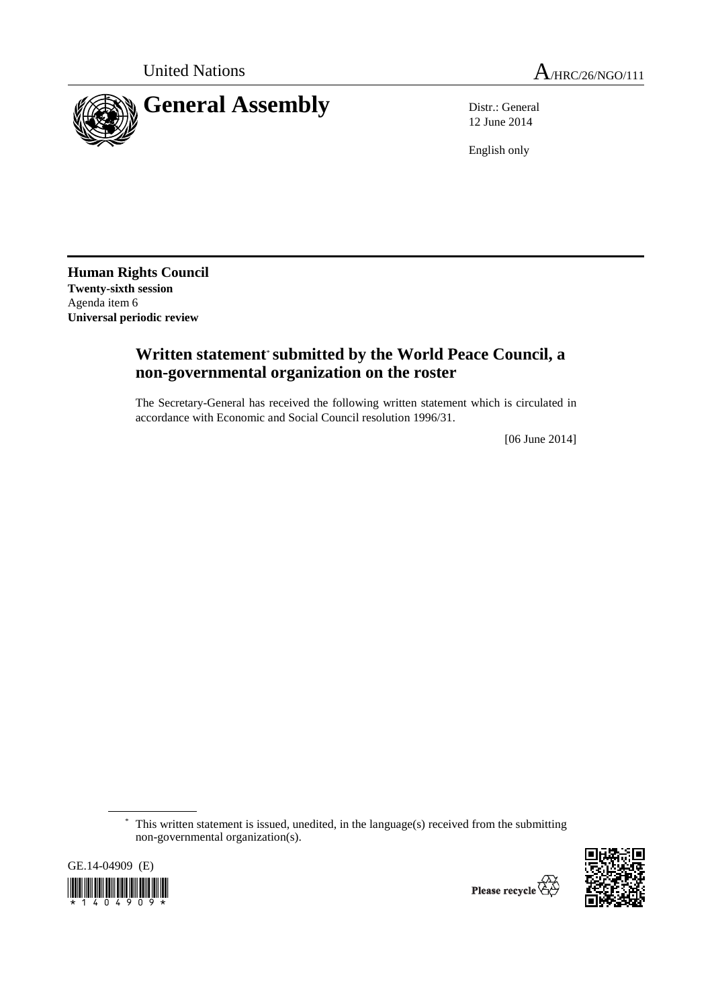

12 June 2014

English only

**Human Rights Council Twenty-sixth session**  Agenda item 6 **Universal periodic review** 

## **Written statement**\* **submitted by the World Peace Council, a non-governmental organization on the roster**

The Secretary-General has received the following written statement which is circulated in accordance with Economic and Social Council resolution 1996/31.

[06 June 2014]

 \* This written statement is issued, unedited, in the language(s) received from the submitting non-governmental organization(s).

GE.14-04909 (E)

\*1404909\*

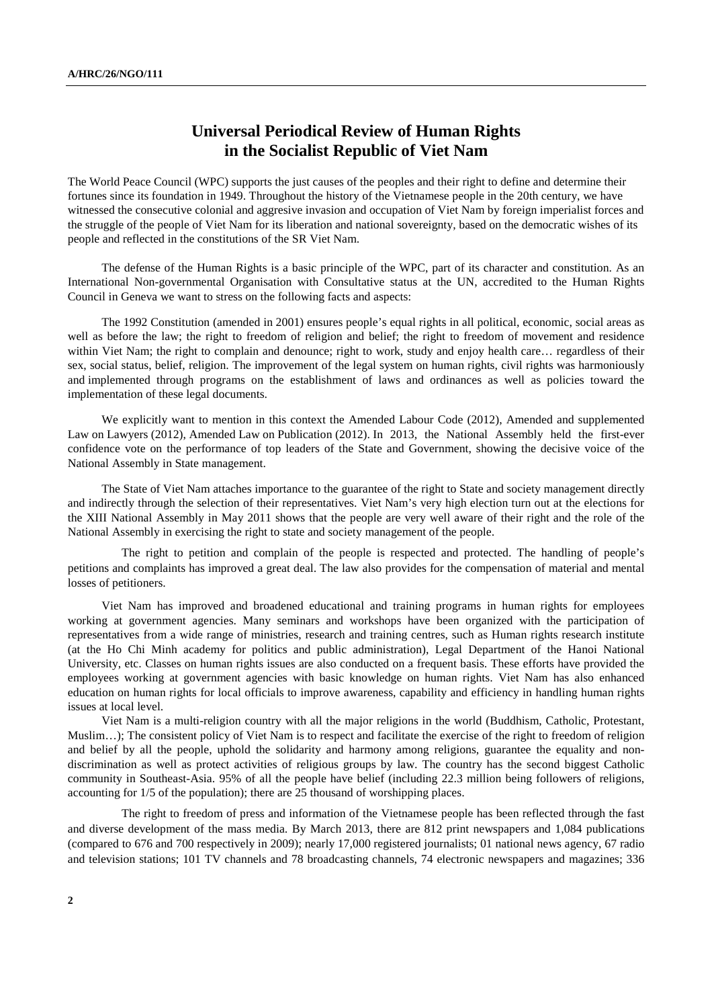## **Universal Periodical Review of Human Rights in the Socialist Republic of Viet Nam**

The World Peace Council (WPC) supports the just causes of the peoples and their right to define and determine their fortunes since its foundation in 1949. Throughout the history of the Vietnamese people in the 20th century, we have witnessed the consecutive colonial and aggresive invasion and occupation of Viet Nam by foreign imperialist forces and the struggle of the people of Viet Nam for its liberation and national sovereignty, based on the democratic wishes of its people and reflected in the constitutions of the SR Viet Nam.

 The defense of the Human Rights is a basic principle of the WPC, part of its character and constitution. As an International Non-governmental Organisation with Consultative status at the UN, accredited to the Human Rights Council in Geneva we want to stress on the following facts and aspects:

 The 1992 Constitution (amended in 2001) ensures people's equal rights in all political, economic, social areas as well as before the law; the right to freedom of religion and belief; the right to freedom of movement and residence within Viet Nam; the right to complain and denounce; right to work, study and enjoy health care... regardless of their sex, social status, belief, religion. The improvement of the legal system on human rights, civil rights was harmoniously and implemented through programs on the establishment of laws and ordinances as well as policies toward the implementation of these legal documents.

 We explicitly want to mention in this context the Amended Labour Code (2012), Amended and supplemented Law on Lawyers (2012), Amended Law on Publication (2012). In 2013, the National Assembly held the first-ever confidence vote on the performance of top leaders of the State and Government, showing the decisive voice of the National Assembly in State management.

 The State of Viet Nam attaches importance to the guarantee of the right to State and society management directly and indirectly through the selection of their representatives. Viet Nam's very high election turn out at the elections for the XIII National Assembly in May 2011 shows that the people are very well aware of their right and the role of the National Assembly in exercising the right to state and society management of the people.

The right to petition and complain of the people is respected and protected. The handling of people's petitions and complaints has improved a great deal. The law also provides for the compensation of material and mental losses of petitioners.

 Viet Nam has improved and broadened educational and training programs in human rights for employees working at government agencies. Many seminars and workshops have been organized with the participation of representatives from a wide range of ministries, research and training centres, such as Human rights research institute (at the Ho Chi Minh academy for politics and public administration), Legal Department of the Hanoi National University, etc. Classes on human rights issues are also conducted on a frequent basis. These efforts have provided the employees working at government agencies with basic knowledge on human rights. Viet Nam has also enhanced education on human rights for local officials to improve awareness, capability and efficiency in handling human rights issues at local level.

 Viet Nam is a multi-religion country with all the major religions in the world (Buddhism, Catholic, Protestant, Muslim…); The consistent policy of Viet Nam is to respect and facilitate the exercise of the right to freedom of religion and belief by all the people, uphold the solidarity and harmony among religions, guarantee the equality and nondiscrimination as well as protect activities of religious groups by law. The country has the second biggest Catholic community in Southeast-Asia. 95% of all the people have belief (including 22.3 million being followers of religions, accounting for 1/5 of the population); there are 25 thousand of worshipping places.

The right to freedom of press and information of the Vietnamese people has been reflected through the fast and diverse development of the mass media. By March 2013, there are 812 print newspapers and 1,084 publications (compared to 676 and 700 respectively in 2009); nearly 17,000 registered journalists; 01 national news agency, 67 radio and television stations; 101 TV channels and 78 broadcasting channels, 74 electronic newspapers and magazines; 336